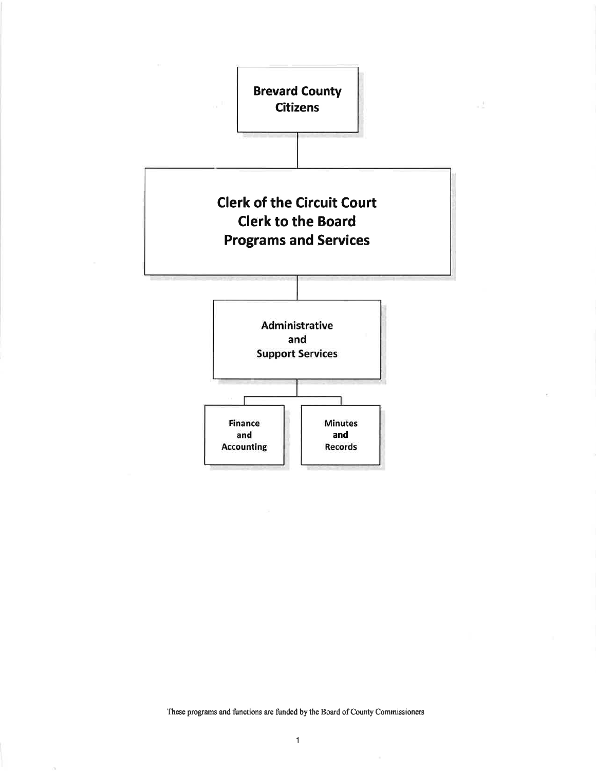

J.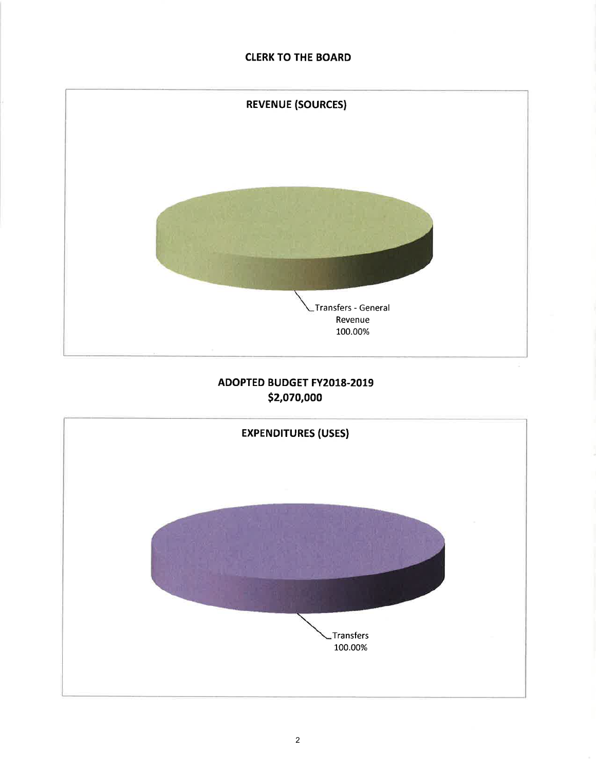## **CLERK TO THE BOARD**



# **ADOPTED BUDGET FY2018-2019** \$2,070,000

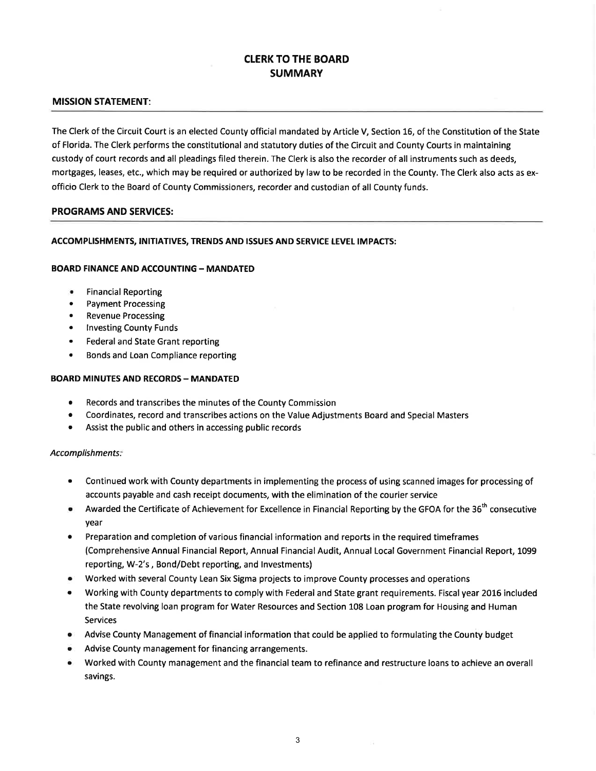### CLERK TO THE BOARD **SUMMARY**

### MISSION STATEMENT:

The Clerk of the Circuit Court is an elected County official mandated by Article V, Section 16, of the Constitution of the State of Florida. The Clerk performs the constitutional and statutory duties of the Circuit and County Courts in maintaining custody of court records and all pleadings filed therein. The Clerk is also the recorder of all instruments such as deeds, mortgages, leases, etc., which may be required or authorized by law to be recorded in the County. The Clerk also acts as exofficio Clerk to the Board of County Commissioners, recorder and custodian of all County funds.

#### PROGRAMS AND SERVICES:

#### ACCOMPLISHMENTS, INITIATIVES, TRENDS AND ISSUES AND SERVICE LEVEL IMPACTS:

#### **BOARD FINANCE AND ACCOUNTING - MANDATED**

- Financial Reporting
- . Payment Processing
- Revenue Processing
- **Investing County Funds**
- . Federal and State Grant reporting
- Bonds and Loan Compliance reporting

#### **BOARD MINUTES AND RECORDS - MANDATED**

- o Records and transcribes the minutes of the County Commission
- o Coordinates, record and transcribes actions on the Value Adjustments Board and Special Masters
- o Assist the public and others in accessing public records

#### Accomplishments:

- Continued work with County departments in implementing the process of using scanned images for processing of accounts payable and cash receipt documents, with the elimination of the courier service
- Awarded the Certificate of Achievement for Excellence in Financial Reporting by the GFOA for the 36<sup>th</sup> consecutive year
- . Preparation and completion of various financial information and reports in the required timeframes (Comprehensive Annual Financial Report, Annual Financial Audit, Annual Local Government Financial Report, 1099 reporting, W-2's, Bond/Debt reporting, and lnvestments)
- Worked with several County Lean Six Sigma projects to improve County processes and operations
- Working with County departments to comply with Federal and State grant requirements. Fiscal year 2016 included the State revolving loan program for Water Resources and Section 108 Loan program for Housing and Human Services
- Advise County Management of financial information that could be applied to formulating the County budget
- Advise County management for financing arrangements.
- Worked with County management and the financial team to refinance and restructure loans to achieve an overall savings.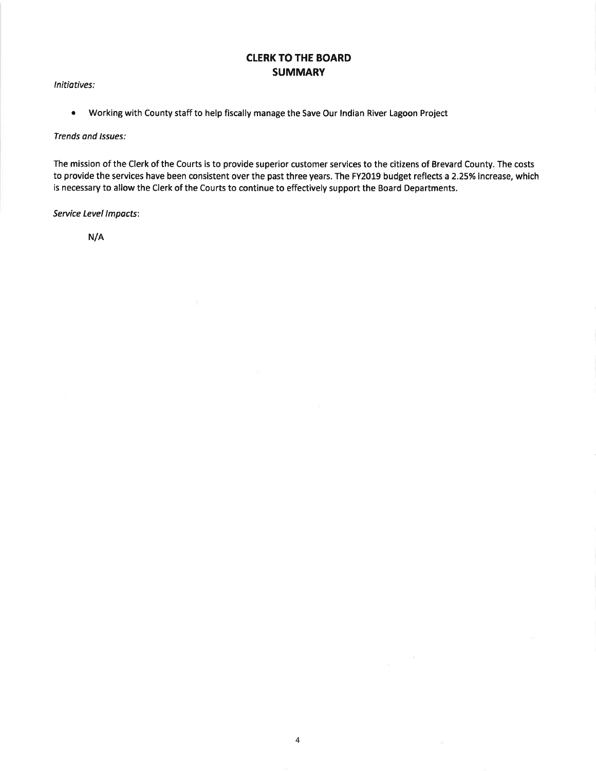## CLERK TO THE BOARD **SUMMARY**

lnitiotives:

• Working with County staff to help fiscally manage the Save Our Indian River Lagoon Project

 $\chi$ 

Trends and lssues:

The mission of the Clerk of the Courts is to provide superior customer services to the citizens of Brevard County. The costs to provide the services have been consistent over the past three years. The FY2019 budget reflects a 2.25% increase, which is necessary to allow the Clerk of the Courts to continue to effectively support the Board Departments.

Service Level lmpacts:

N/A

 $\omega^{1/2}$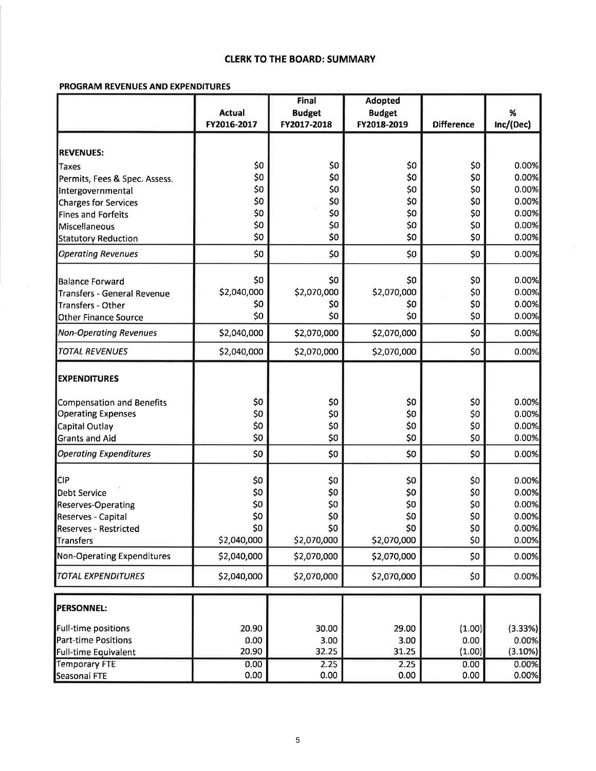### CLERK TO THE BOARD: SUMMARY

### PROGRAM REVENUES AND EXPENDITURES

|                                         |                            | <b>Final</b>               | <b>Adopted</b>             |                   |                |
|-----------------------------------------|----------------------------|----------------------------|----------------------------|-------------------|----------------|
|                                         | <b>Actual</b>              | <b>Budget</b>              | <b>Budget</b>              |                   | %              |
|                                         | FY2016-2017                | FY2017-2018                | FY2018-2019                | <b>Difference</b> | Inc/(Dec)      |
|                                         |                            |                            |                            |                   |                |
| <b>REVENUES:</b>                        |                            |                            |                            |                   |                |
| <b>Taxes</b>                            | \$0                        | \$0                        | \$0                        | \$0               | 0.00%          |
| Permits, Fees & Spec. Assess.           | \$0                        | \$0                        | \$0                        | \$0               | 0.00%          |
| Intergovernmental                       | \$0                        | \$0                        | \$0                        | \$0               | 0.00%          |
| Charges for Services                    | \$0                        | \$0                        | \$0                        | \$0               | 0.00%          |
| <b>Fines and Forfeits</b>               | \$0                        | \$0                        | \$0                        | 50                | 0.00%          |
| Miscellaneous                           | \$0                        | \$0                        | \$0                        | \$0               | 0.00%          |
| Statutory Reduction                     | \$0                        | \$0                        | \$0                        | \$0               | 0.00%          |
| <b>Operating Revenues</b>               | \$0                        | \$0                        | \$0                        | \$0               | 0.00%          |
| <b>Balance Forward</b>                  | \$0                        | \$0                        | \$0                        | \$0               | 0.00%          |
| Transfers - General Revenue             | \$2,040,000                | \$2,070,000                | \$2,070,000                | \$0               | 0.00%          |
| Transfers - Other                       | \$0                        | \$0                        | \$0                        | \$0               | 0.00%          |
| Other Finance Source                    | \$0                        | \$0                        | \$0                        | \$0               | 0.00%          |
| <b>Non-Operating Revenues</b>           | \$2,040,000                | \$2,070,000                | \$2,070,000                | \$0               | 0.00%          |
| <b>TOTAL REVENUES</b>                   | \$2,040,000                | \$2,070,000                | \$2,070,000                | \$0               | 0.00%          |
| <b>EXPENDITURES</b>                     |                            |                            |                            |                   |                |
| Compensation and Benefits               | \$0                        | \$0                        | \$0                        | \$0               | 0.00%          |
| <b>Operating Expenses</b>               | \$0                        | \$0                        | \$0                        | \$0               | 0.00%          |
| Capital Outlay                          | \$0                        | \$0                        | \$0                        | \$0               | 0.00%          |
| <b>Grants and Aid</b>                   | \$0                        | \$0                        | \$0                        | \$0               | 0.00%          |
| <b>Operating Expenditures</b>           | \$0                        | \$0                        | \$0                        | \$0               | 0.00%          |
| CIP)                                    | \$0                        |                            |                            |                   | 0.00%          |
|                                         |                            | \$0                        | \$0                        | \$0               |                |
| Debt Service                            | \$0                        | \$0                        | \$0                        | \$0               | 0.00%<br>0.00% |
| <b>Reserves-Operating</b>               | \$0                        | \$0                        | \$0                        | \$0               |                |
| Reserves - Capital                      | \$0                        | \$0                        | \$0<br>\$0                 | \$0               | 0.00%          |
| <b>Reserves - Restricted</b>            | \$0                        | 50                         |                            | \$0               | 0.00%          |
| Transfers<br>Non-Operating Expenditures | \$2,040,000<br>\$2,040,000 | \$2,070,000<br>\$2,070,000 | \$2,070,000<br>\$2,070,000 | \$0               | 0.00%<br>0.00% |
|                                         |                            |                            |                            | \$0               |                |
| <b>TOTAL EXPENDITURES</b>               | \$2,040,000                | \$2,070,000                | \$2,070,000                | \$0               | 0.00%          |
| <b>PERSONNEL:</b>                       |                            |                            |                            |                   |                |
| Full-time positions                     | 20.90                      | 30.00                      | 29.00                      | (1.00)            | (3.33%)        |
| Part-time Positions                     | 0.00                       | 3.00                       | 3.00                       | 0.00              | 0.00%          |
| Full-time Equivalent                    | 20.90                      | 32.25                      | 31.25                      | (1.00)            | (3.10%)        |
| <b>Temporary FTE</b>                    | 0.00                       | 2.25                       | 2.25                       | 0.00              | 0.00%          |
| Seasonal FTE                            | 0.00                       | 0.00                       | 0.00                       | 0.00              | 0.00%          |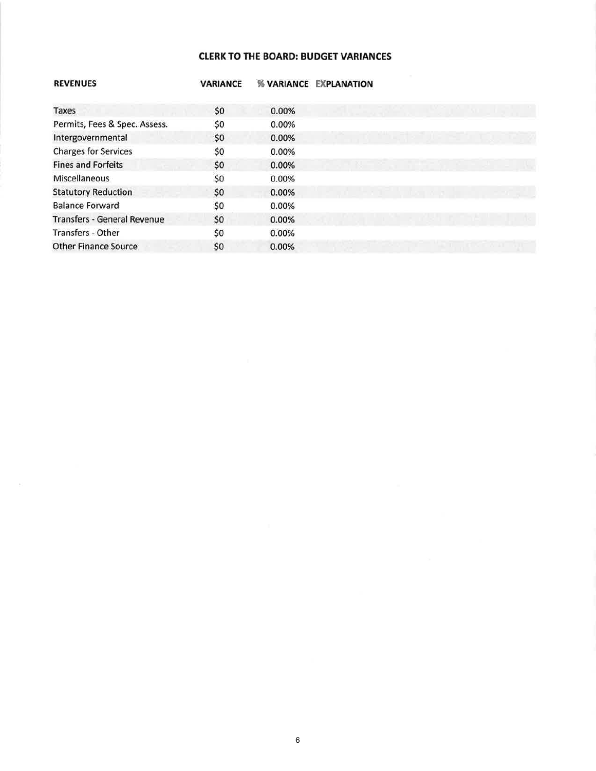### **CLERK TO THE BOARD: BUDGET VARIANCES**

| <b>REVENUES</b>                    | <b>VARIANCE</b> | <b>% VARIANCE</b> | <b>EXPLANATION</b> |
|------------------------------------|-----------------|-------------------|--------------------|
| Taxes                              | \$0             | 0.00%             |                    |
| Permits, Fees & Spec. Assess.      | \$0             | 0.00%             |                    |
| Intergovernmental                  | \$0             | 0.00%             |                    |
| <b>Charges for Services</b>        | \$0             | 0.00%             |                    |
| <b>Fines and Forfeits</b>          | \$0             | 0.00%             | 图 三等 前             |
| Miscellaneous                      | \$0             | 0.00%             |                    |
| <b>Statutory Reduction</b>         | \$0             | 0.00%             |                    |
| <b>Balance Forward</b>             | \$0             | 0.00%             |                    |
| <b>Transfers - General Revenue</b> | \$0             | 0.00%             |                    |
| Transfers - Other                  | \$0             | 0.00%             |                    |
| <b>Other Finance Source</b>        | \$0             | 0.00%             |                    |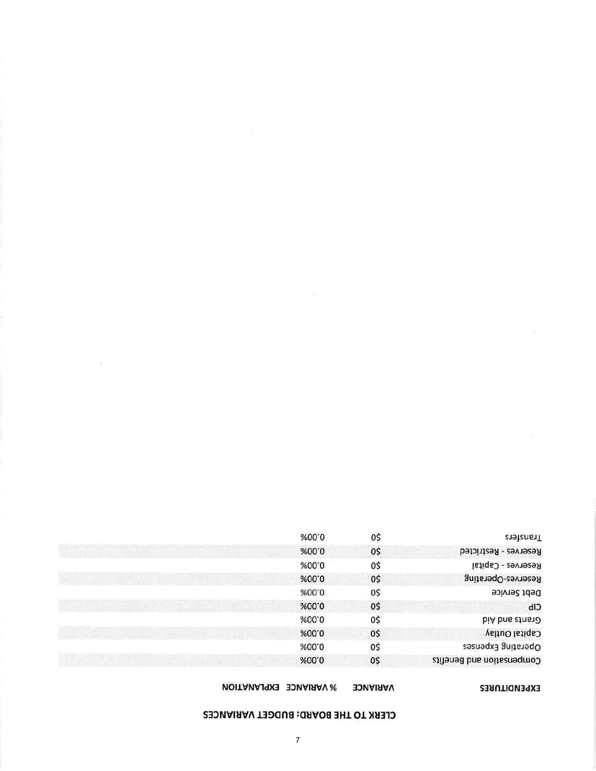### CLERK TO THE BOARD: BUDGET VARIANCES

| <b>EXPENDITURES</b> |  |  |
|---------------------|--|--|
|                     |  |  |

| <b>WARIANCE EXPLANATION</b> | <b>VARIANCE</b> |
|-----------------------------|-----------------|
|                             |                 |

|             | %00.0 | 0\$ | ransfers                  |
|-------------|-------|-----|---------------------------|
| <b>AND</b>  | %00.0 | 0\$ | Reserves - Restricted     |
|             | %00.0 | 0\$ | Reserves - Capital        |
|             | %00.0 | 0\$ | Reserves-Operating        |
|             | %00.0 | 0\$ | Debt Service              |
|             | %00.0 | 0\$ | CIP                       |
|             | %00.0 | 0\$ | biA bns atns aD           |
| <b>ALLU</b> | %00.0 | 0\$ | <b>Capital Outlay</b>     |
|             | %00.0 | 0\$ | Operating Expenses        |
|             | %00.0 | 0\$ | Compensation and Benefits |

 $\tilde{a}$